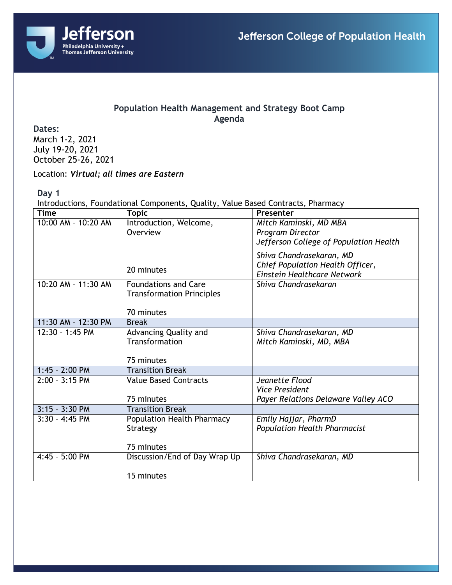

## **Population Health Management and Strategy Boot Camp Agenda**

**Dates:**

March 1-2, 2021 July 19-20, 2021 October 25-26, 2021

Location: *Virtual; all times are Eastern*

**Day 1**

Introductions, Foundational Components, Quality, Value Based Contracts, Pharmacy

| <b>Time</b>         | <b>Topic</b>                      | Presenter                              |
|---------------------|-----------------------------------|----------------------------------------|
| 10:00 AM - 10:20 AM | Introduction, Welcome,            | Mitch Kaminski, MD MBA                 |
|                     | Overview                          | Program Director                       |
|                     |                                   | Jefferson College of Population Health |
|                     |                                   | Shiva Chandrasekaran, MD               |
|                     | 20 minutes                        | Chief Population Health Officer,       |
|                     |                                   | Einstein Healthcare Network            |
| 10:20 AM - 11:30 AM | <b>Foundations and Care</b>       | Shiva Chandrasekaran                   |
|                     | <b>Transformation Principles</b>  |                                        |
|                     |                                   |                                        |
|                     | 70 minutes                        |                                        |
| 11:30 AM - 12:30 PM | <b>Break</b>                      |                                        |
| 12:30 - 1:45 PM     | Advancing Quality and             | Shiva Chandrasekaran, MD               |
|                     | Transformation                    | Mitch Kaminski, MD, MBA                |
|                     |                                   |                                        |
|                     | 75 minutes                        |                                        |
| $1:45 - 2:00$ PM    | <b>Transition Break</b>           |                                        |
| $2:00 - 3:15$ PM    | <b>Value Based Contracts</b>      | Jeanette Flood                         |
|                     |                                   | <b>Vice President</b>                  |
|                     | 75 minutes                        | Payer Relations Delaware Valley ACO    |
| 3:15 - 3:30 PM      | <b>Transition Break</b>           |                                        |
| $3:30 - 4:45$ PM    | <b>Population Health Pharmacy</b> | Emily Hajjar, PharmD                   |
|                     | Strategy                          | <b>Population Health Pharmacist</b>    |
|                     |                                   |                                        |
|                     | 75 minutes                        |                                        |
| 4:45 - 5:00 PM      | Discussion/End of Day Wrap Up     | Shiva Chandrasekaran, MD               |
|                     |                                   |                                        |
|                     | 15 minutes                        |                                        |